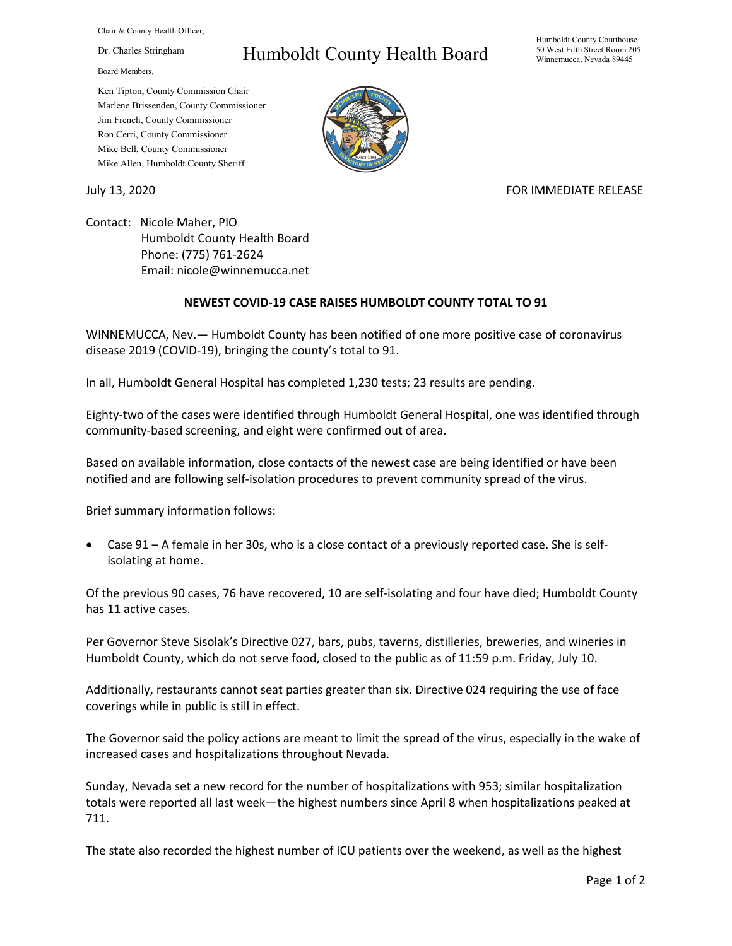Chair & County Health Officer,

Dr. Charles Stringham

Board Members,

## Humboldt County Health Board

Humboldt County Courthouse 50 West Fifth Street Room 205 Winnemucca, Nevada 89445

Ken Tipton, County Commission Chair Marlene Brissenden, County Commissioner Jim French, County Commissioner Ron Cerri, County Commissioner Mike Bell, County Commissioner Mike Allen, Humboldt County Sheriff

## July 13, 2020 FOR IMMEDIATE RELEASE

Contact: Nicole Maher, PIO Humboldt County Health Board Phone: (775) 761-2624 Email: nicole@winnemucca.net

## **NEWEST COVID-19 CASE RAISES HUMBOLDT COUNTY TOTAL TO 91**

WINNEMUCCA, Nev.— Humboldt County has been notified of one more positive case of coronavirus disease 2019 (COVID-19), bringing the county's total to 91.

In all, Humboldt General Hospital has completed 1,230 tests; 23 results are pending.

Eighty-two of the cases were identified through Humboldt General Hospital, one was identified through community-based screening, and eight were confirmed out of area.

Based on available information, close contacts of the newest case are being identified or have been notified and are following self-isolation procedures to prevent community spread of the virus.

Brief summary information follows:

• Case 91 – A female in her 30s, who is a close contact of a previously reported case. She is selfisolating at home.

Of the previous 90 cases, 76 have recovered, 10 are self-isolating and four have died; Humboldt County has 11 active cases.

Per Governor Steve Sisolak's Directive 027, bars, pubs, taverns, distilleries, breweries, and wineries in Humboldt County, which do not serve food, closed to the public as of 11:59 p.m. Friday, July 10.

Additionally, restaurants cannot seat parties greater than six. Directive 024 requiring the use of face coverings while in public is still in effect.

The Governor said the policy actions are meant to limit the spread of the virus, especially in the wake of increased cases and hospitalizations throughout Nevada.

Sunday, Nevada set a new record for the number of hospitalizations with 953; similar hospitalization totals were reported all last week—the highest numbers since April 8 when hospitalizations peaked at 711.

The state also recorded the highest number of ICU patients over the weekend, as well as the highest